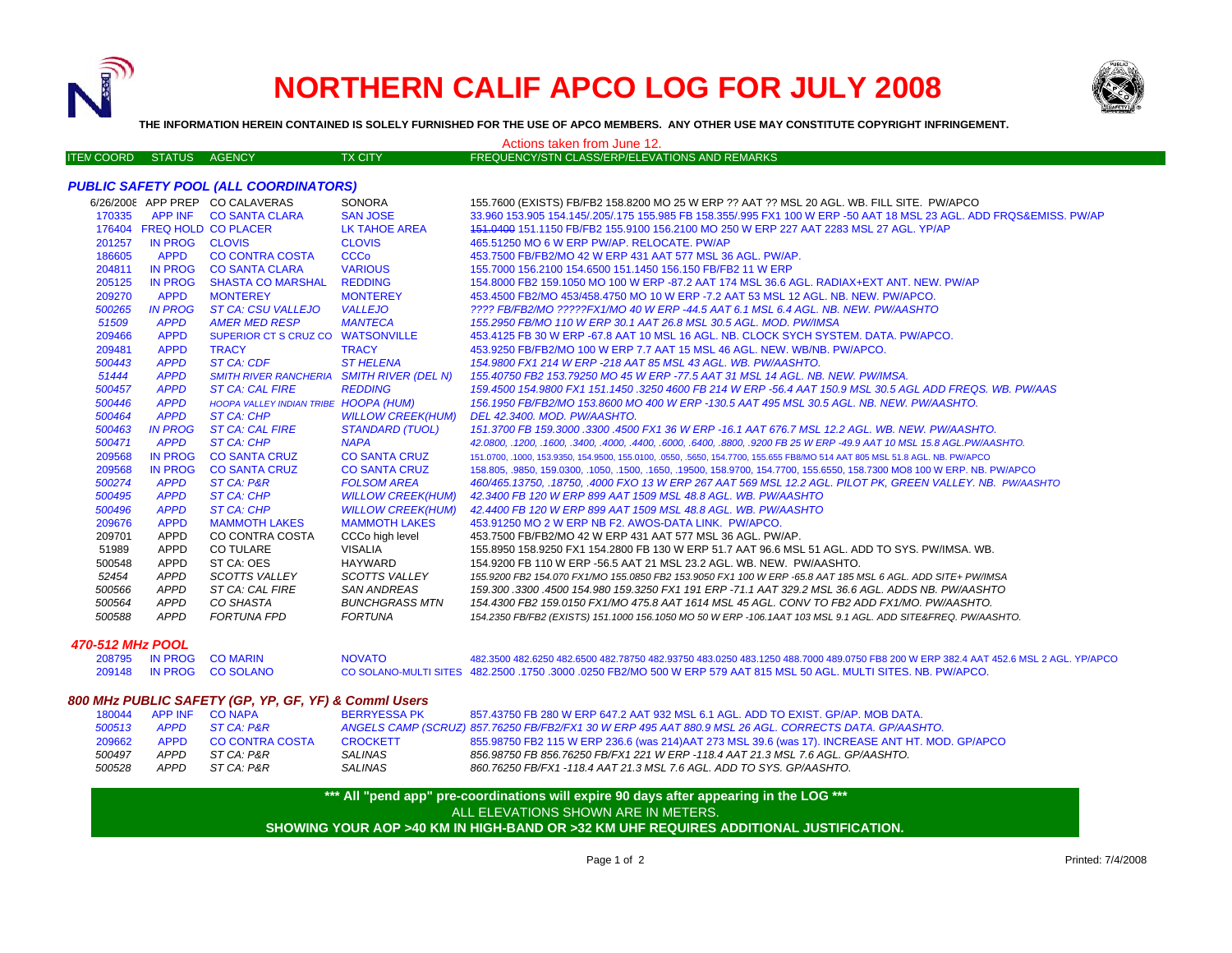

# **NORTHERN CALIF APCO LOG FOR JULY 2008**



**THE INFORMATION HEREIN CONTAINED IS SOLELY FURNISHED FOR THE USE OF APCO MEMBERS. ANY OTHER USE MAY CONSTITUTE COPYRIGHT INFRINGEMENT.**

|                   |        |                | Actions taken from June 12.                    |
|-------------------|--------|----------------|------------------------------------------------|
| ITEN COORD STATUS | AGENCY | <b>TX CITY</b> | FREQUENCY/STN CLASS/ERP/ELEVATIONS AND REMARKS |

## *PUBLIC SAFETY POOL (ALL COORDINATORS)*

|                     |                | 6/26/2008 APP PREP CO CALAVERAS           | <b>SONORA</b>            | 155.7600 (EXISTS) FB/FB2 158.8200 MO 25 W ERP ?? AAT ?? MSL 20 AGL. WB. FILL SITE. PW/APCO                               |
|---------------------|----------------|-------------------------------------------|--------------------------|--------------------------------------------------------------------------------------------------------------------------|
| 170335              |                | APP INF CO SANTA CLARA                    | <b>SAN JOSE</b>          | 33.960 153.905 154.145/.205/.175 155.985 FB 158.355/.995 FX1 100 W ERP -50 AAT 18 MSL 23 AGL, ADD FRQS&EMISS, PW/AP      |
|                     |                | 176404 FREQ HOLD CO PLACER                | LK TAHOE AREA            | 151,0400 151,1150 FB/FB2 155,9100 156,2100 MO 250 W ERP 227 AAT 2283 MSL 27 AGL. YP/AP                                   |
| 201257              | IN PROG CLOVIS |                                           | <b>CLOVIS</b>            | 465.51250 MO 6 W ERP PW/AP, RELOCATE, PW/AP                                                                              |
| 186605              | <b>APPD</b>    | <b>CO CONTRA COSTA</b>                    | <b>CCCo</b>              | 453.7500 FB/FB2/MO 42 W ERP 431 AAT 577 MSL 36 AGL, PW/AP.                                                               |
| 204811              | <b>IN PROG</b> | <b>CO SANTA CLARA</b>                     | <b>VARIOUS</b>           | 155,7000 156,2100 154,6500 151,1450 156,150 FB/FB2 11 W ERP                                                              |
| 205125              | <b>IN PROG</b> | <b>SHASTA CO MARSHAL</b>                  | <b>REDDING</b>           | 154,8000 FB2 159,1050 MO 100 W ERP -87.2 AAT 174 MSL 36.6 AGL, RADIAX+EXT ANT, NEW, PW/AP                                |
| 209270              | <b>APPD</b>    | <b>MONTEREY</b>                           | <b>MONTEREY</b>          | 453,4500 FB2/MO 453/458,4750 MO 10 W ERP -7.2 AAT 53 MSL 12 AGL, NB, NEW, PW/APCO,                                       |
| 500265              | <b>IN PROG</b> | ST CA: CSU VALLEJO                        | <b>VALLEJO</b>           | ???? FB/FB2/MO ?????FX1/MO 40 W ERP -44.5 AAT 6.1 MSL 6.4 AGL. NB. NEW. PW/AASHTO                                        |
| 51509               | <b>APPD</b>    | <b>AMER MED RESP</b>                      | <b>MANTECA</b>           | 155.2950 FB/MO 110 W ERP 30.1 AAT 26.8 MSL 30.5 AGL. MOD. PW/IMSA                                                        |
| 209466              | <b>APPD</b>    | SUPERIOR CT S CRUZ CO WATSONVILLE         |                          | 453.4125 FB 30 W ERP -67.8 AAT 10 MSL 16 AGL. NB. CLOCK SYCH SYSTEM, DATA, PW/APCO,                                      |
| 209481              | <b>APPD</b>    | <b>TRACY</b>                              | <b>TRACY</b>             | 453,9250 FB/FB2/MO 100 W ERP 7.7 AAT 15 MSL 46 AGL. NEW. WB/NB, PW/APCO.                                                 |
| 500443              | <b>APPD</b>    | ST CA: CDF                                | <b>ST HELENA</b>         | 154.9800 FX1 214 W ERP -218 AAT 85 MSL 43 AGL. WB. PW/AASHTO.                                                            |
| 51444               | <b>APPD</b>    | SMITH RIVER RANCHERIA SMITH RIVER (DEL N) |                          | 155.40750 FB2 153.79250 MO 45 W ERP -77.5 AAT 31 MSL 14 AGL. NB. NEW. PW/IMSA.                                           |
| 500457              | <b>APPD</b>    | <b>ST CA: CAL FIRE</b>                    | <b>REDDING</b>           | 159.4500 154.9800 FX1 151.1450 .3250 4600 FB 214 W ERP -56.4 AAT 150.9 MSL 30.5 AGL ADD FREQS. WB. PW/AAS                |
| 500446              | <b>APPD</b>    | HOOPA VALLEY INDIAN TRIBE HOOPA (HUM)     |                          | 156.1950 FB/FB2/MO 153.8600 MO 400 W ERP -130.5 AAT 495 MSL 30.5 AGL. NB. NEW. PW/AASHTO.                                |
| 500464              | <b>APPD</b>    | ST CA: CHP                                | <b>WILLOW CREEK(HUM)</b> | DEL 42.3400. MOD. PW/AASHTO.                                                                                             |
| 500463              | <b>IN PROG</b> | <b>ST CA: CAL FIRE</b>                    | <b>STANDARD (TUOL)</b>   | 151.3700 FB 159.3000 .3300 .4500 FX1 36 W ERP -16.1 AAT 676.7 MSL 12.2 AGL. WB. NEW. PW/AASHTO.                          |
| 500471              | <b>APPD</b>    | ST CA: CHP                                | <b>NAPA</b>              | 42.0800, .1200, .1600, .3400, .4000, .4400, .6000, .6400, .8800, .9200 FB 25 W ERP -49.9 AAT 10 MSL 15.8 AGL.PW/AASHTO.  |
| 209568              | <b>IN PROG</b> | <b>CO SANTA CRUZ</b>                      | <b>CO SANTA CRUZ</b>     | 151,0700, 1000, 153,9350, 154,9500, 155,0100, 0550, 5650, 154,7700, 155,655 FB8/MO 514 AAT 805 MSL 51.8 AGL, NB, PW/APCO |
| 209568              | <b>IN PROG</b> | <b>CO SANTA CRUZ</b>                      | <b>CO SANTA CRUZ</b>     | 158.805, 9850, 159.0300, 1050, 1500, 1650, 19500, 158.9700, 154.7700, 155.6550, 158.7300 MO8 100 W ERP. NB. PW/APCO      |
| 500274              | <b>APPD</b>    | ST CA: P&R                                | <b>FOLSOM AREA</b>       | 460/465.13750, .18750, .4000 FXO 13 W ERP 267 AAT 569 MSL 12.2 AGL. PILOT PK, GREEN VALLEY. NB. PW/AASHTO                |
| 500495              | <b>APPD</b>    | <b>ST CA: CHP</b>                         | <b>WILLOW CREEK(HUM)</b> | 42.3400 FB 120 W ERP 899 AAT 1509 MSL 48.8 AGL, WB, PW/AASHTO                                                            |
| 500496              | <b>APPD</b>    | ST CA: CHP                                | <b>WILLOW CREEK(HUM)</b> | 42.4400 FB 120 W ERP 899 AAT 1509 MSL 48.8 AGL, WB, PW/AASHTO                                                            |
| 209676              | <b>APPD</b>    | <b>MAMMOTH LAKES</b>                      | <b>MAMMOTH LAKES</b>     | 453.91250 MO 2 W ERP NB F2, AWOS-DATA LINK. PW/APCO.                                                                     |
| 209701              | <b>APPD</b>    | CO CONTRA COSTA                           | CCCo high level          | 453.7500 FB/FB2/MO 42 W ERP 431 AAT 577 MSL 36 AGL, PW/AP.                                                               |
| 51989               | APPD           | <b>CO TULARE</b>                          | <b>VISALIA</b>           | 155.8950 158.9250 FX1 154.2800 FB 130 W ERP 51.7 AAT 96.6 MSL 51 AGL. ADD TO SYS. PW/IMSA, WB.                           |
| 500548              | APPD           | ST CA: OES                                | HAYWARD                  | 154,9200 FB 110 W ERP -56.5 AAT 21 MSL 23.2 AGL, WB, NEW, PW/AASHTO.                                                     |
| 52454               | <b>APPD</b>    | <b>SCOTTS VALLEY</b>                      | SCOTTS VALLEY            | 155.9200 FB2 154.070 FX1/MO 155.0850 FB2 153.9050 FX1 100 W ERP -65.8 AAT 185 MSL 6 AGL. ADD SITE+ PW/IMSA               |
| 500566              | <b>APPD</b>    | ST CA: CAL FIRE                           | SAN ANDREAS              | 159.300 .3300 .4500 154.980 159.3250 FX1 191 ERP -71.1 AAT 329.2 MSL 36.6 AGL. ADDS NB. PW/AASHTO                        |
| 500564              | APPD           | CO SHASTA                                 | <b>BUNCHGRASS MTN</b>    | 154.4300 FB2 159.0150 FX1/MO 475.8 AAT 1614 MSL 45 AGL. CONV TO FB2 ADD FX1/MO. PW/AASHTO.                               |
| 500588              | APPD           | FORTUNA FPD                               | FORTUNA                  | 154.2350 FB/FB2 (EXISTS) 151.1000 156.1050 MO 50 W ERP -106.1AAT 103 MSL 9.1 AGL. ADD SITE&FREQ. PW/AASHTO.              |
| $20.549.001 - 0001$ |                |                                           |                          |                                                                                                                          |

#### *470-512 MHz POOL*

|  | 208795 IN PROG CO MARIN  | <b>NOVATO</b> | 482,3500 482,6250 482,6500 482,78750 482,93750 483,0250 483,1250 488,7000 489,0750 FB8 200 W ERP 382,4 AAT 452,6 MSL 2 AGL, YP/APCO |
|--|--------------------------|---------------|-------------------------------------------------------------------------------------------------------------------------------------|
|  | 209148 IN PROG CO SOLANO |               | . CO SOLANO-MULTI SITES 482.2500 .1750 .3000 .0250 FB2/MO 500 W ERP 579 AAT 815 MSL 50 AGL. MULTI SITES. NB. PW/APCO                |

### *800 MHz PUBLIC SAFETY (GP, YP, GF, YF) & Comml Users*

| 180044 |      | APP INF CONAPA  | <b>BERRYESSA PK</b> | 857.43750 FB 280 W ERP 647.2 AAT 932 MSL 6.1 AGL. ADD TO EXIST, GP/AP, MOB DATA.                      |
|--------|------|-----------------|---------------------|-------------------------------------------------------------------------------------------------------|
| 500513 | APPD | ST CA: P&R      |                     | ANGELS CAMP (SCRUZ) 857.76250 FB/FB2/FX1 30 W ERP 495 AAT 880.9 MSL 26 AGL. CORRECTS DATA. GP/AASHTO. |
| 209662 | APPD | CO CONTRA COSTA | CROCKETT            | 855.98750 FB2 115 W ERP 236.6 (was 214) AAT 273 MSL 39.6 (was 17). INCREASE ANT HT. MOD. GP/APCO      |
| 500497 | APPD | ST CA: P&R      | SALINAS             | 856.98750 FB 856.76250 FB/FX1 221 W ERP -118.4 AAT 21.3 MSL 7.6 AGL. GP/AASHTO.                       |
| 500528 | APPD | ST CA: P&R      | <b>SALINAS</b>      | 860.76250 FB/FX1 -118.4 AAT 21.3 MSL 7.6 AGL. ADD TO SYS. GP/AASHTO.                                  |

**\*\*\* All "pend app" pre-coordinations will expire 90 days after appearing in the LOG \*\*\* SHOWING YOUR AOP >40 KM IN HIGH-BAND OR >32 KM UHF REQUIRES ADDITIONAL JUSTIFICATION.**  ALL ELEVATIONS SHOWN ARE IN METERS.